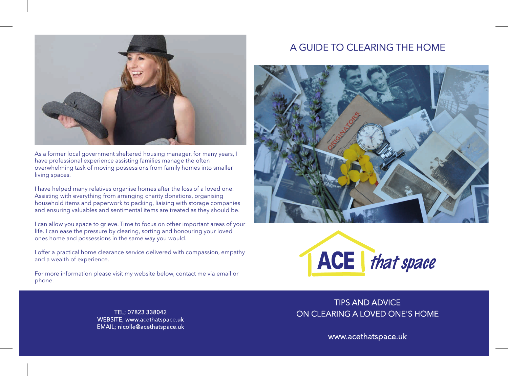

As a former local government sheltered housing manager, for many years, I have professional experience assisting families manage the often overwhelming task of moving possessions from family homes into smaller living spaces.

I have helped many relatives organise homes after the loss of a loved one. Assisting with everything from arranging charity donations, organising household items and paperwork to packing, liaising with storage companies and ensuring valuables and sentimental items are treated as they should be.

I can allow you space to grieve. Time to focus on other important areas of your life. I can ease the pressure by clearing, sorting and honouring your loved ones home and possessions in the same way you would.

I offer a practical home clearance service delivered with compassion, empathy and a wealth of experience.

For more information please visit my website below, contact me via email or phone.

# A GUIDE TO CLEARING THE HOME





TEL; 07823 338042 WEBSITE; www.acethatspace.uk EMAIL; nicolle@acethatspace.uk

TIPS AND ADVICE ON CLEARING A LOVED ONE'S HOME

www.acethatspace.uk